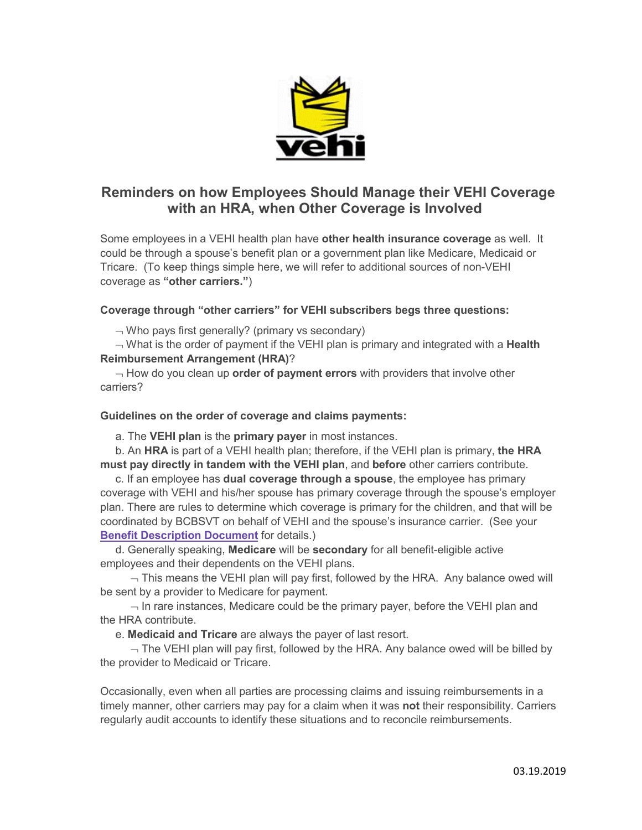

# **Reminders on how Employees Should Manage their VEHI Coverage with an HRA, when Other Coverage is Involved**

Some employees in a VEHI health plan have **other health insurance coverage** as well. It could be through a spouse's benefit plan or a government plan like Medicare, Medicaid or Tricare. (To keep things simple here, we will refer to additional sources of non-VEHI coverage as **"other carriers."**)

## **Coverage through "other carriers" for VEHI subscribers begs three questions:**

 $\neg$  Who pays first generally? (primary vs secondary)

¬ What is the order of payment if the VEHI plan is primary and integrated with a **Health Reimbursement Arrangement (HRA)**?

¬ How do you clean up **order of payment errors** with providers that involve other carriers?

### **Guidelines on the order of coverage and claims payments:**

a. The **VEHI plan** is the **primary payer** in most instances.

b. An **HRA** is part of a VEHI health plan; therefore, if the VEHI plan is primary, **the HRA must pay directly in tandem with the VEHI plan**, and **before** other carriers contribute.

c. If an employee has **dual coverage through a spouse**, the employee has primary coverage with VEHI and his/her spouse has primary coverage through the spouse's employer plan. There are rules to determine which coverage is primary for the children, and that will be coordinated by BCBSVT on behalf of VEHI and the spouse's insurance carrier. (See your **[Benefit Description Document](https://vsbit.cmail19.com/t/j-l-xdtdhil-idhtdiyki-k/)** for details.)

d. Generally speaking, **Medicare** will be **secondary** for all benefit-eligible active employees and their dependents on the VEHI plans.

 $\neg$  This means the VEHI plan will pay first, followed by the HRA. Any balance owed will be sent by a provider to Medicare for payment.

 $\neg$  In rare instances, Medicare could be the primary payer, before the VEHI plan and the HRA contribute.

e. **Medicaid and Tricare** are always the payer of last resort.

 $\neg$  The VEHI plan will pay first, followed by the HRA. Any balance owed will be billed by the provider to Medicaid or Tricare.

Occasionally, even when all parties are processing claims and issuing reimbursements in a timely manner, other carriers may pay for a claim when it was **not** their responsibility. Carriers regularly audit accounts to identify these situations and to reconcile reimbursements.